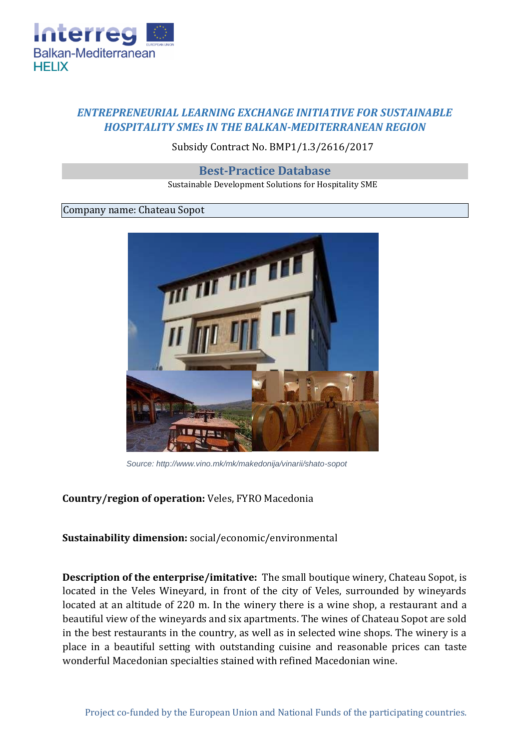

# *ENTREPRENEURIAL LEARNING EXCHANGE INITIATIVE FOR SUSTAINABLE HOSPITALITY SMEs IN THE BALKAN-MEDITERRANEAN REGION*

## Subsidy Contract No. BMP1/1.3/2616/2017

#### **Best-Practice Database**

Sustainable Development Solutions for Hospitality SME

## Company name: Chateau Sopot



*Source: http://www.vino.mk/mk/makedonija/vinarii/shato-sopot*

## **Country/region of operation:** Veles, FYRO Macedonia

### **Sustainability dimension:** social/economic/environmental

**Description of the enterprise/imitative:** The small boutique winery, Chateau Sopot, is located in the Veles Wineyard, in front of the city of Veles, surrounded by wineyards located at an altitude of 220 m. In the winery there is a wine shop, a restaurant and a beautiful view of the wineyards and six apartments. The wines of Chateau Sopot are sold in the best restaurants in the country, as well as in selected wine shops. The winery is a place in a beautiful setting with outstanding cuisine and reasonable prices can taste wonderful Macedonian specialties stained with refined Macedonian wine.